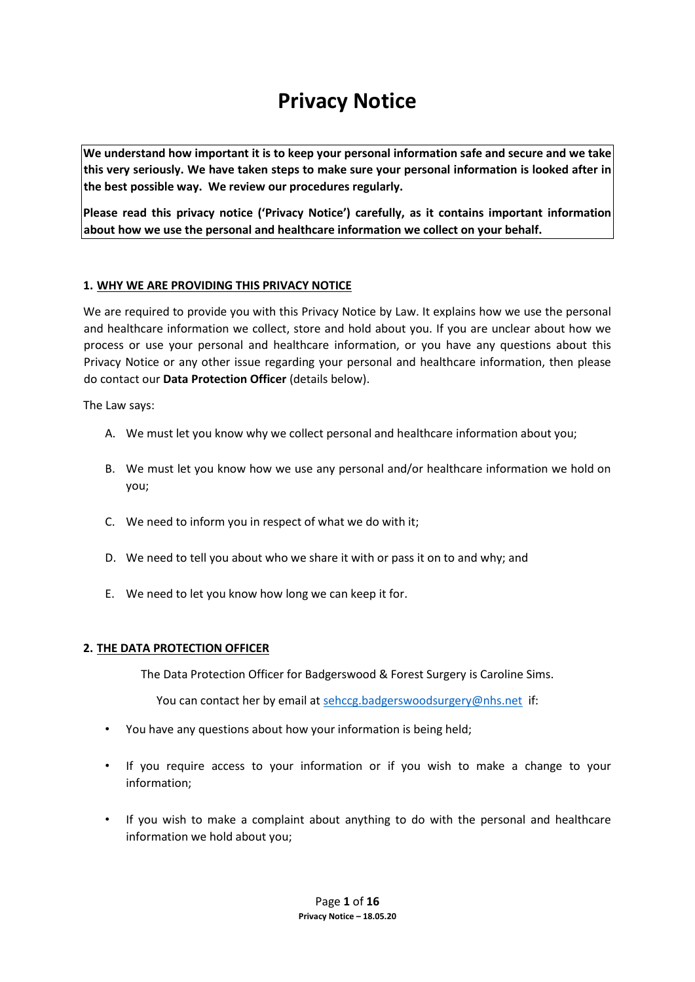# **Privacy Notice**

**We understand how important it is to keep your personal information safe and secure and we take this very seriously. We have taken steps to make sure your personal information is looked after in the best possible way. We review our procedures regularly.** 

**Please read this privacy notice ('Privacy Notice') carefully, as it contains important information about how we use the personal and healthcare information we collect on your behalf.**

## **1. WHY WE ARE PROVIDING THIS PRIVACY NOTICE**

We are required to provide you with this Privacy Notice by Law. It explains how we use the personal and healthcare information we collect, store and hold about you. If you are unclear about how we process or use your personal and healthcare information, or you have any questions about this Privacy Notice or any other issue regarding your personal and healthcare information, then please do contact our **Data Protection Officer** (details below).

The Law says:

- A. We must let you know why we collect personal and healthcare information about you;
- B. We must let you know how we use any personal and/or healthcare information we hold on you;
- C. We need to inform you in respect of what we do with it;
- D. We need to tell you about who we share it with or pass it on to and why; and
- E. We need to let you know how long we can keep it for.

#### **2. THE DATA PROTECTION OFFICER**

The Data Protection Officer for Badgerswood & Forest Surgery is Caroline Sims.

You can contact her by email at [sehccg.badgerswoodsurgery@nhs.net](mailto:sehccg.badgerswoodsurgery@nhs.net) if:

- You have any questions about how your information is being held;
- If you require access to your information or if you wish to make a change to your information;
- If you wish to make a complaint about anything to do with the personal and healthcare information we hold about you;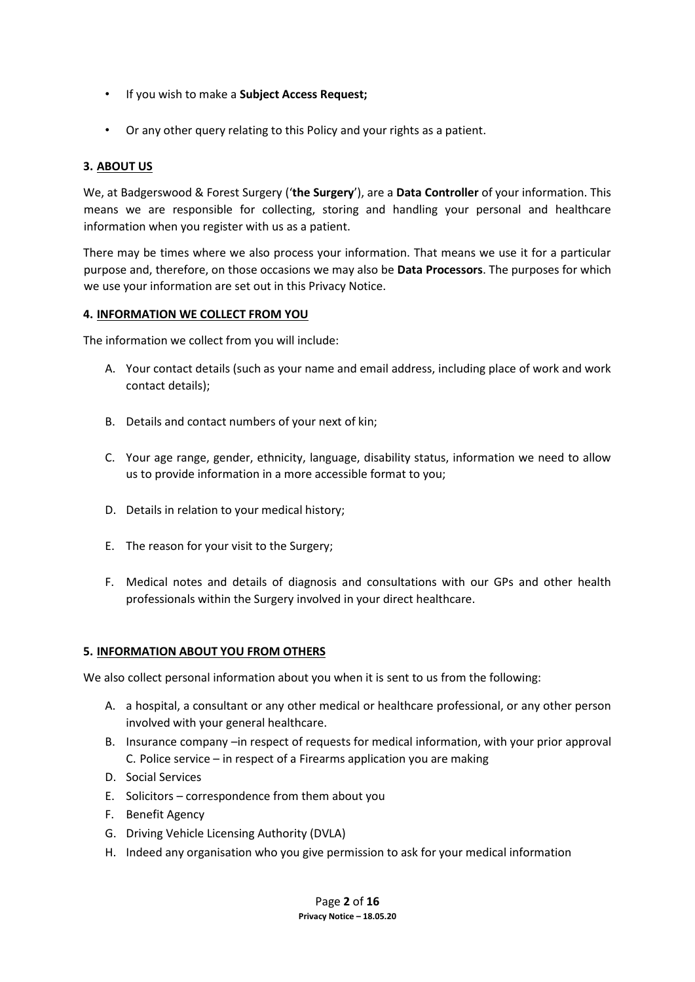- If you wish to make a **Subject Access Request;**
- Or any other query relating to this Policy and your rights as a patient.

## **3. ABOUT US**

We, at Badgerswood & Forest Surgery ('**the Surgery**'), are a **Data Controller** of your information. This means we are responsible for collecting, storing and handling your personal and healthcare information when you register with us as a patient.

There may be times where we also process your information. That means we use it for a particular purpose and, therefore, on those occasions we may also be **Data Processors**. The purposes for which we use your information are set out in this Privacy Notice.

#### **4. INFORMATION WE COLLECT FROM YOU**

The information we collect from you will include:

- A. Your contact details (such as your name and email address, including place of work and work contact details);
- B. Details and contact numbers of your next of kin;
- C. Your age range, gender, ethnicity, language, disability status, information we need to allow us to provide information in a more accessible format to you;
- D. Details in relation to your medical history;
- E. The reason for your visit to the Surgery;
- F. Medical notes and details of diagnosis and consultations with our GPs and other health professionals within the Surgery involved in your direct healthcare.

#### **5. INFORMATION ABOUT YOU FROM OTHERS**

We also collect personal information about you when it is sent to us from the following:

- A. a hospital, a consultant or any other medical or healthcare professional, or any other person involved with your general healthcare.
- B. Insurance company –in respect of requests for medical information, with your prior approval C. Police service – in respect of a Firearms application you are making
- D. Social Services
- E. Solicitors correspondence from them about you
- F. Benefit Agency
- G. Driving Vehicle Licensing Authority (DVLA)
- H. Indeed any organisation who you give permission to ask for your medical information

Page **2** of **16 Privacy Notice – 18.05.20**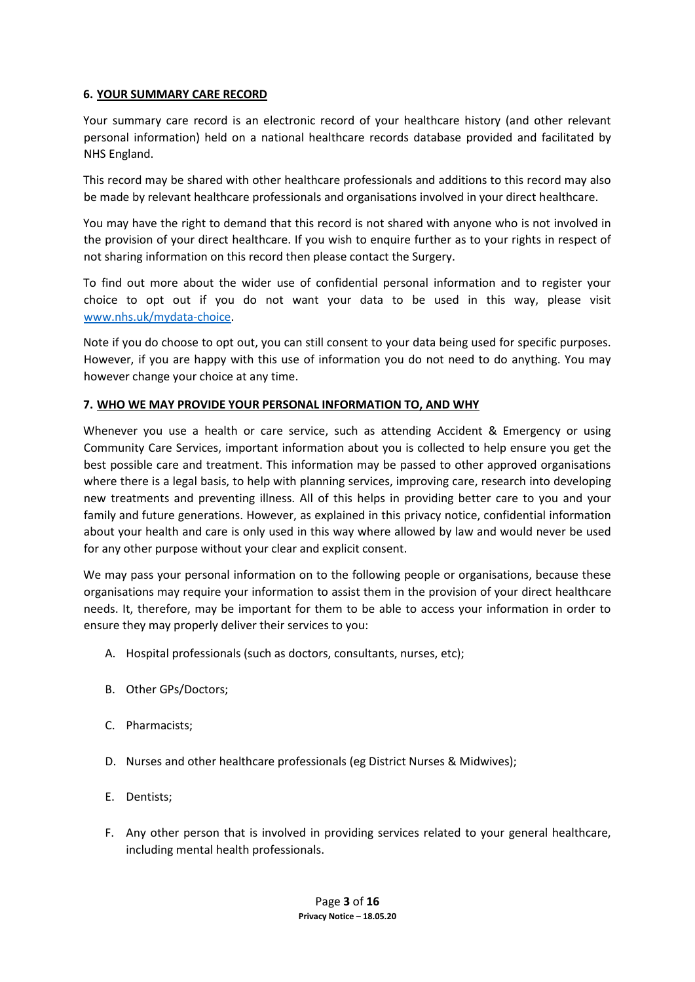## **6. YOUR SUMMARY CARE RECORD**

Your summary care record is an electronic record of your healthcare history (and other relevant personal information) held on a national healthcare records database provided and facilitated by NHS England.

This record may be shared with other healthcare professionals and additions to this record may also be made by relevant healthcare professionals and organisations involved in your direct healthcare.

You may have the right to demand that this record is not shared with anyone who is not involved in the provision of your direct healthcare. If you wish to enquire further as to your rights in respect of not sharing information on this record then please contact the Surgery.

To find out more about the wider use of confidential personal information and to register your choice to opt out if you do not want your data to be used in this way, please visit [www.nhs.uk/mydata-choice.](http://www.nhs.uk/my-data-choice)

Note if you do choose to opt out, you can still consent to your data being used for specific purposes. However, if you are happy with this use of information you do not need to do anything. You may however change your choice at any time.

## **7. WHO WE MAY PROVIDE YOUR PERSONAL INFORMATION TO, AND WHY**

Whenever you use a health or care service, such as attending Accident & Emergency or using Community Care Services, important information about you is collected to help ensure you get the best possible care and treatment. This information may be passed to other approved organisations where there is a legal basis, to help with planning services, improving care, research into developing new treatments and preventing illness. All of this helps in providing better care to you and your family and future generations. However, as explained in this privacy notice, confidential information about your health and care is only used in this way where allowed by law and would never be used for any other purpose without your clear and explicit consent.

We may pass your personal information on to the following people or organisations, because these organisations may require your information to assist them in the provision of your direct healthcare needs. It, therefore, may be important for them to be able to access your information in order to ensure they may properly deliver their services to you:

- A. Hospital professionals (such as doctors, consultants, nurses, etc);
- B. Other GPs/Doctors;
- C. Pharmacists;
- D. Nurses and other healthcare professionals (eg District Nurses & Midwives);
- E. Dentists;
- F. Any other person that is involved in providing services related to your general healthcare, including mental health professionals.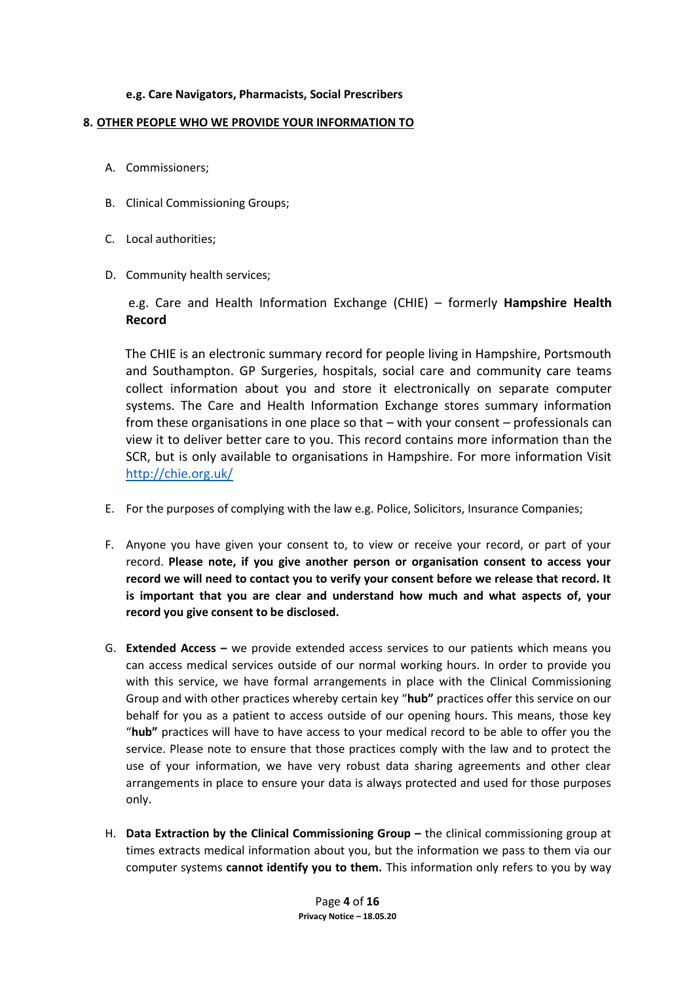## **e.g. Care Navigators, Pharmacists, Social Prescribers**

## **8. OTHER PEOPLE WHO WE PROVIDE YOUR INFORMATION TO**

- A. Commissioners;
- B. Clinical Commissioning Groups;
- C. Local authorities;
- D. Community health services;

e.g. Care and Health Information Exchange (CHIE) – formerly **Hampshire Health Record**

The CHIE is an electronic summary record for people living in Hampshire, Portsmouth and Southampton. GP Surgeries, hospitals, social care and community care teams collect information about you and store it electronically on separate computer systems. The Care and Health Information Exchange stores summary information from these organisations in one place so that – with your consent – professionals can view it to deliver better care to you. This record contains more information than the SCR, but is only available to organisations in Hampshire. For more information Visit <http://chie.org.uk/>

- E. For the purposes of complying with the law e.g. Police, Solicitors, Insurance Companies;
- F. Anyone you have given your consent to, to view or receive your record, or part of your record. **Please note, if you give another person or organisation consent to access your record we will need to contact you to verify your consent before we release that record. It is important that you are clear and understand how much and what aspects of, your record you give consent to be disclosed.**
- G. **Extended Access –** we provide extended access services to our patients which means you can access medical services outside of our normal working hours. In order to provide you with this service, we have formal arrangements in place with the Clinical Commissioning Group and with other practices whereby certain key "**hub"** practices offer this service on our behalf for you as a patient to access outside of our opening hours. This means, those key "**hub"** practices will have to have access to your medical record to be able to offer you the service. Please note to ensure that those practices comply with the law and to protect the use of your information, we have very robust data sharing agreements and other clear arrangements in place to ensure your data is always protected and used for those purposes only.
- H. **Data Extraction by the Clinical Commissioning Group –** the clinical commissioning group at times extracts medical information about you, but the information we pass to them via our computer systems **cannot identify you to them.** This information only refers to you by way

Page **4** of **16 Privacy Notice – 18.05.20**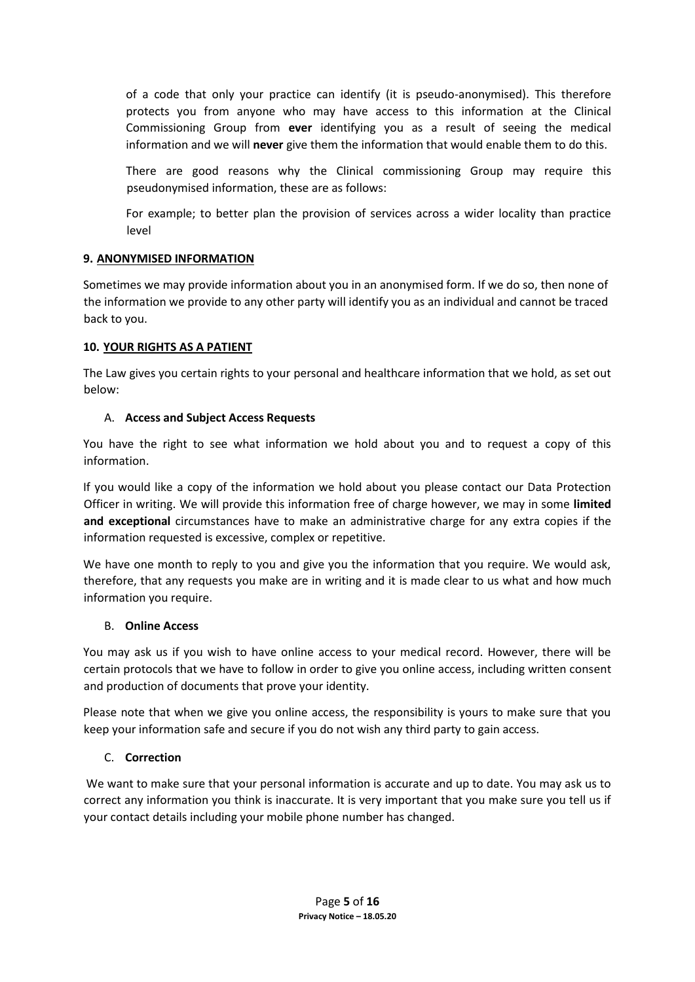of a code that only your practice can identify (it is pseudo-anonymised). This therefore protects you from anyone who may have access to this information at the Clinical Commissioning Group from **ever** identifying you as a result of seeing the medical information and we will **never** give them the information that would enable them to do this.

There are good reasons why the Clinical commissioning Group may require this pseudonymised information, these are as follows:

For example; to better plan the provision of services across a wider locality than practice level

## **9. ANONYMISED INFORMATION**

Sometimes we may provide information about you in an anonymised form. If we do so, then none of the information we provide to any other party will identify you as an individual and cannot be traced back to you.

## **10. YOUR RIGHTS AS A PATIENT**

The Law gives you certain rights to your personal and healthcare information that we hold, as set out below:

## A. **Access and Subject Access Requests**

You have the right to see what information we hold about you and to request a copy of this information.

If you would like a copy of the information we hold about you please contact our Data Protection Officer in writing. We will provide this information free of charge however, we may in some **limited and exceptional** circumstances have to make an administrative charge for any extra copies if the information requested is excessive, complex or repetitive.

We have one month to reply to you and give you the information that you require. We would ask, therefore, that any requests you make are in writing and it is made clear to us what and how much information you require.

#### B. **Online Access**

You may ask us if you wish to have online access to your medical record. However, there will be certain protocols that we have to follow in order to give you online access, including written consent and production of documents that prove your identity.

Please note that when we give you online access, the responsibility is yours to make sure that you keep your information safe and secure if you do not wish any third party to gain access.

## C. **Correction**

We want to make sure that your personal information is accurate and up to date. You may ask us to correct any information you think is inaccurate. It is very important that you make sure you tell us if your contact details including your mobile phone number has changed.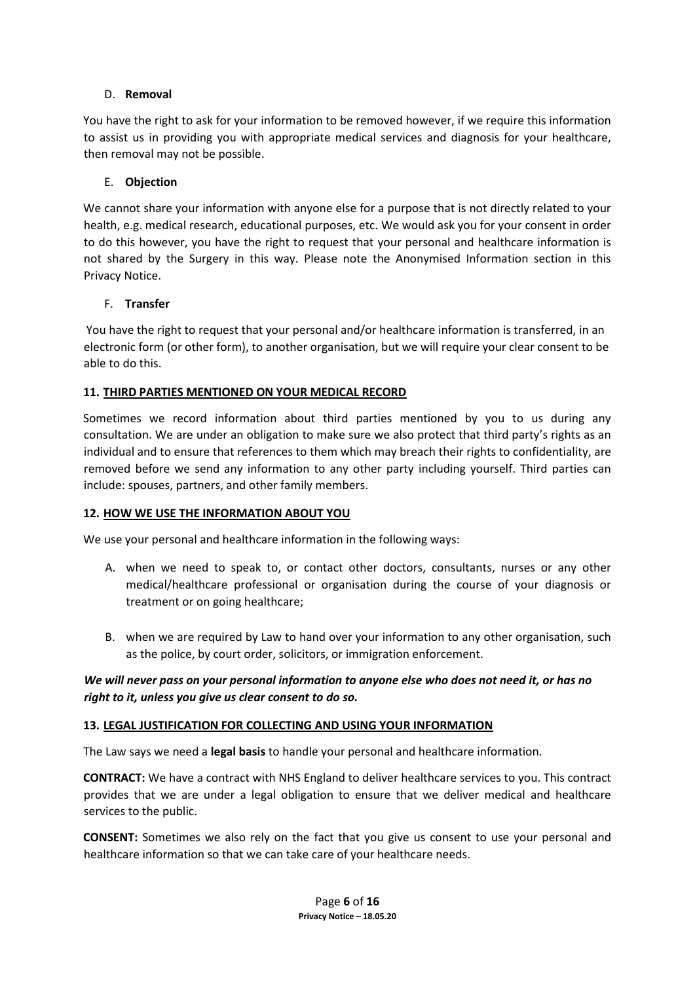## D. **Removal**

You have the right to ask for your information to be removed however, if we require this information to assist us in providing you with appropriate medical services and diagnosis for your healthcare, then removal may not be possible.

## E. **Objection**

We cannot share your information with anyone else for a purpose that is not directly related to your health, e.g. medical research, educational purposes, etc. We would ask you for your consent in order to do this however, you have the right to request that your personal and healthcare information is not shared by the Surgery in this way. Please note the Anonymised Information section in this Privacy Notice.

#### F. **Transfer**

You have the right to request that your personal and/or healthcare information is transferred, in an electronic form (or other form), to another organisation, but we will require your clear consent to be able to do this.

## **11. THIRD PARTIES MENTIONED ON YOUR MEDICAL RECORD**

Sometimes we record information about third parties mentioned by you to us during any consultation. We are under an obligation to make sure we also protect that third party's rights as an individual and to ensure that references to them which may breach their rights to confidentiality, are removed before we send any information to any other party including yourself. Third parties can include: spouses, partners, and other family members.

#### **12. HOW WE USE THE INFORMATION ABOUT YOU**

We use your personal and healthcare information in the following ways:

- A. when we need to speak to, or contact other doctors, consultants, nurses or any other medical/healthcare professional or organisation during the course of your diagnosis or treatment or on going healthcare;
- B. when we are required by Law to hand over your information to any other organisation, such as the police, by court order, solicitors, or immigration enforcement.

## *We will never pass on your personal information to anyone else who does not need it, or has no right to it, unless you give us clear consent to do so.*

#### **13. LEGAL JUSTIFICATION FOR COLLECTING AND USING YOUR INFORMATION**

The Law says we need a **legal basis** to handle your personal and healthcare information.

**CONTRACT:** We have a contract with NHS England to deliver healthcare services to you. This contract provides that we are under a legal obligation to ensure that we deliver medical and healthcare services to the public.

**CONSENT:** Sometimes we also rely on the fact that you give us consent to use your personal and healthcare information so that we can take care of your healthcare needs.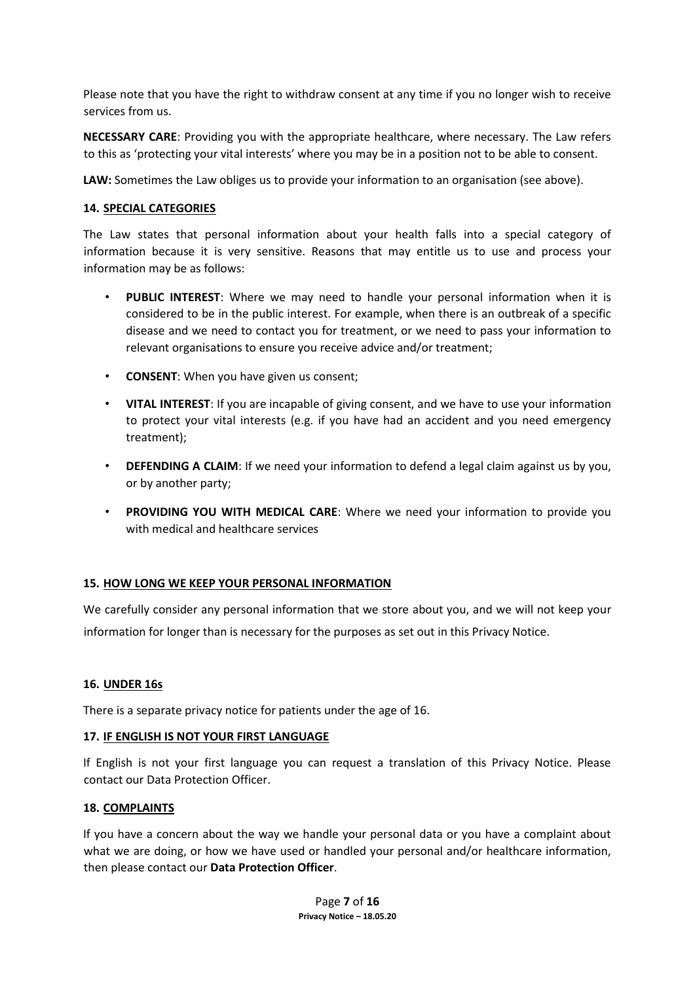Please note that you have the right to withdraw consent at any time if you no longer wish to receive services from us.

**NECESSARY CARE**: Providing you with the appropriate healthcare, where necessary. The Law refers to this as 'protecting your vital interests' where you may be in a position not to be able to consent.

**LAW:** Sometimes the Law obliges us to provide your information to an organisation (see above).

#### **14. SPECIAL CATEGORIES**

The Law states that personal information about your health falls into a special category of information because it is very sensitive. Reasons that may entitle us to use and process your information may be as follows:

- **PUBLIC INTEREST**: Where we may need to handle your personal information when it is considered to be in the public interest. For example, when there is an outbreak of a specific disease and we need to contact you for treatment, or we need to pass your information to relevant organisations to ensure you receive advice and/or treatment;
- **CONSENT**: When you have given us consent;
- **VITAL INTEREST**: If you are incapable of giving consent, and we have to use your information to protect your vital interests (e.g. if you have had an accident and you need emergency treatment);
- **DEFENDING A CLAIM**: If we need your information to defend a legal claim against us by you, or by another party;
- PROVIDING YOU WITH MEDICAL CARE: Where we need your information to provide you with medical and healthcare services

#### **15. HOW LONG WE KEEP YOUR PERSONAL INFORMATION**

We carefully consider any personal information that we store about you, and we will not keep your information for longer than is necessary for the purposes as set out in this Privacy Notice.

#### **16. UNDER 16s**

There is a separate privacy notice for patients under the age of 16.

#### **17. IF ENGLISH IS NOT YOUR FIRST LANGUAGE**

If English is not your first language you can request a translation of this Privacy Notice. Please contact our Data Protection Officer.

#### **18. COMPLAINTS**

If you have a concern about the way we handle your personal data or you have a complaint about what we are doing, or how we have used or handled your personal and/or healthcare information, then please contact our **Data Protection Officer**.

> Page **7** of **16 Privacy Notice – 18.05.20**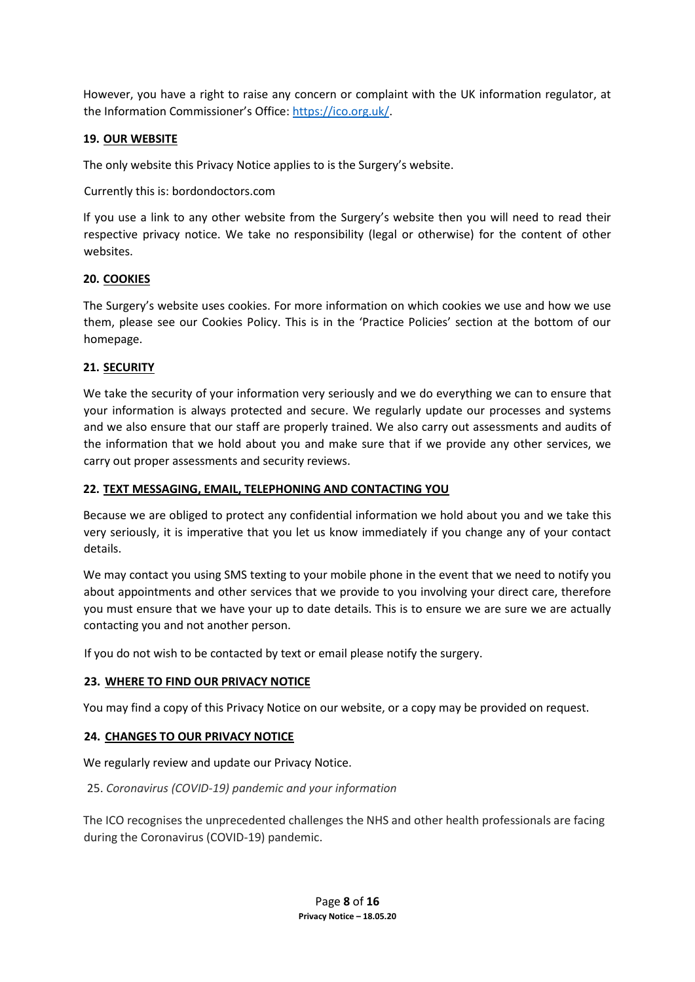However, you have a right to raise any concern or complaint with the UK information regulator, at the Information Commissioner's Office: [https://ico.org.uk/.](https://ico.org.uk/)

## **19. OUR WEBSITE**

The only website this Privacy Notice applies to is the Surgery's website.

Currently this is: bordondoctors.com

If you use a link to any other website from the Surgery's website then you will need to read their respective privacy notice. We take no responsibility (legal or otherwise) for the content of other websites.

## **20. COOKIES**

The Surgery's website uses cookies. For more information on which cookies we use and how we use them, please see our Cookies Policy. This is in the 'Practice Policies' section at the bottom of our homepage.

## **21. SECURITY**

We take the security of your information very seriously and we do everything we can to ensure that your information is always protected and secure. We regularly update our processes and systems and we also ensure that our staff are properly trained. We also carry out assessments and audits of the information that we hold about you and make sure that if we provide any other services, we carry out proper assessments and security reviews.

## **22. TEXT MESSAGING, EMAIL, TELEPHONING AND CONTACTING YOU**

Because we are obliged to protect any confidential information we hold about you and we take this very seriously, it is imperative that you let us know immediately if you change any of your contact details.

We may contact you using SMS texting to your mobile phone in the event that we need to notify you about appointments and other services that we provide to you involving your direct care, therefore you must ensure that we have your up to date details. This is to ensure we are sure we are actually contacting you and not another person.

If you do not wish to be contacted by text or email please notify the surgery.

## **23. WHERE TO FIND OUR PRIVACY NOTICE**

You may find a copy of this Privacy Notice on our website, or a copy may be provided on request.

#### **24. CHANGES TO OUR PRIVACY NOTICE**

We regularly review and update our Privacy Notice.

#### 25. *Coronavirus (COVID-19) pandemic and your information*

The ICO recognises the unprecedented challenges the NHS and other health professionals are facing during the Coronavirus (COVID-19) pandemic.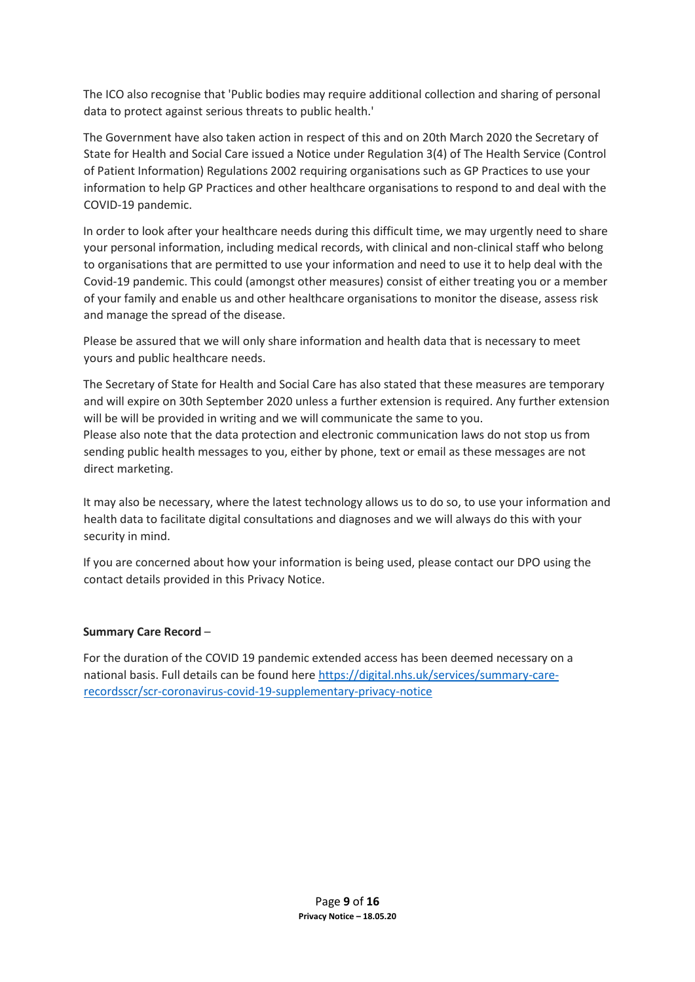The ICO also recognise that 'Public bodies may require additional collection and sharing of personal data to protect against serious threats to public health.'

The Government have also taken action in respect of this and on 20th March 2020 the Secretary of State for Health and Social Care issued a Notice under Regulation 3(4) of The Health Service (Control of Patient Information) Regulations 2002 requiring organisations such as GP Practices to use your information to help GP Practices and other healthcare organisations to respond to and deal with the COVID-19 pandemic.

In order to look after your healthcare needs during this difficult time, we may urgently need to share your personal information, including medical records, with clinical and non-clinical staff who belong to organisations that are permitted to use your information and need to use it to help deal with the Covid-19 pandemic. This could (amongst other measures) consist of either treating you or a member of your family and enable us and other healthcare organisations to monitor the disease, assess risk and manage the spread of the disease.

Please be assured that we will only share information and health data that is necessary to meet yours and public healthcare needs.

The Secretary of State for Health and Social Care has also stated that these measures are temporary and will expire on 30th September 2020 unless a further extension is required. Any further extension will be will be provided in writing and we will communicate the same to you. Please also note that the data protection and electronic communication laws do not stop us from sending public health messages to you, either by phone, text or email as these messages are not direct marketing.

It may also be necessary, where the latest technology allows us to do so, to use your information and health data to facilitate digital consultations and diagnoses and we will always do this with your security in mind.

If you are concerned about how your information is being used, please contact our DPO using the contact details provided in this Privacy Notice.

## **Summary Care Record** –

For the duration of the COVID 19 pandemic extended access has been deemed necessary on a national basis. Full details can be found her[e https://digital.nhs.uk/services/summary-care](https://digital.nhs.uk/services/summary-care-records-scr/scr-coronavirus-covid-19-supplementary-privacy-notice)[recordsscr/scr-coronavirus-covid-19-supplementary-privacy-notice](https://digital.nhs.uk/services/summary-care-records-scr/scr-coronavirus-covid-19-supplementary-privacy-notice)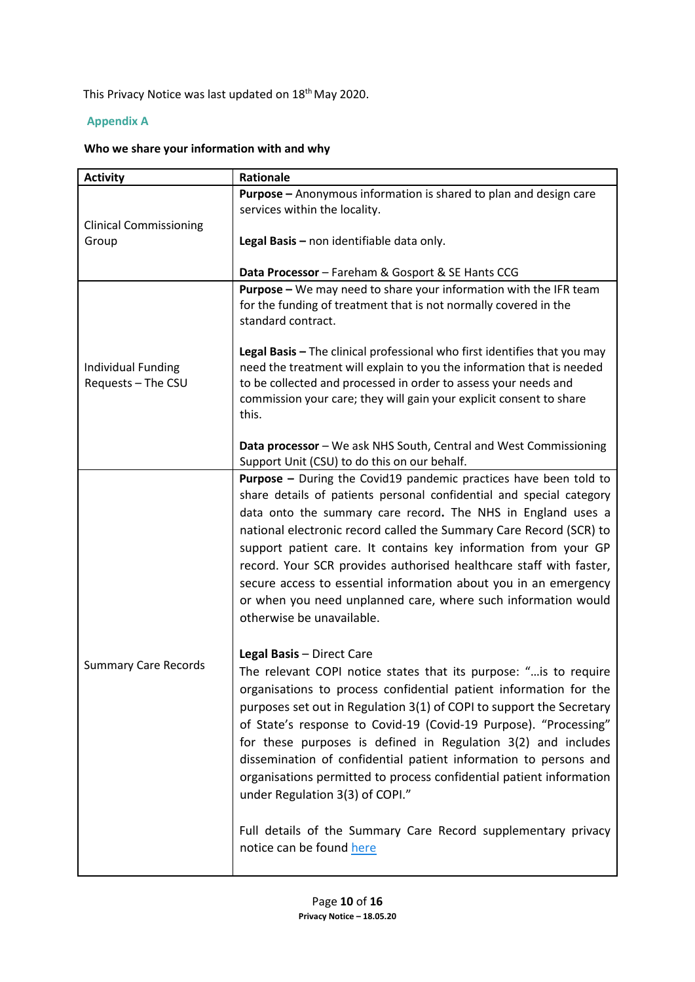This Privacy Notice was last updated on 18<sup>th</sup> May 2020.

## **Appendix A**

# **Who we share your information with and why**

| <b>Activity</b>                          | Rationale                                                                                                                                                                                                                                                                                                                                                                                                                                                                                                                                                                                                                                                   |
|------------------------------------------|-------------------------------------------------------------------------------------------------------------------------------------------------------------------------------------------------------------------------------------------------------------------------------------------------------------------------------------------------------------------------------------------------------------------------------------------------------------------------------------------------------------------------------------------------------------------------------------------------------------------------------------------------------------|
| <b>Clinical Commissioning</b>            | <b>Purpose</b> - Anonymous information is shared to plan and design care<br>services within the locality.                                                                                                                                                                                                                                                                                                                                                                                                                                                                                                                                                   |
| Group                                    | Legal Basis - non identifiable data only.                                                                                                                                                                                                                                                                                                                                                                                                                                                                                                                                                                                                                   |
|                                          | Data Processor - Fareham & Gosport & SE Hants CCG                                                                                                                                                                                                                                                                                                                                                                                                                                                                                                                                                                                                           |
| Individual Funding<br>Requests - The CSU | Purpose - We may need to share your information with the IFR team<br>for the funding of treatment that is not normally covered in the<br>standard contract.                                                                                                                                                                                                                                                                                                                                                                                                                                                                                                 |
|                                          | Legal Basis - The clinical professional who first identifies that you may<br>need the treatment will explain to you the information that is needed<br>to be collected and processed in order to assess your needs and<br>commission your care; they will gain your explicit consent to share<br>this.                                                                                                                                                                                                                                                                                                                                                       |
|                                          | Data processor - We ask NHS South, Central and West Commissioning<br>Support Unit (CSU) to do this on our behalf.                                                                                                                                                                                                                                                                                                                                                                                                                                                                                                                                           |
| <b>Summary Care Records</b>              | <b>Purpose -</b> During the Covid19 pandemic practices have been told to<br>share details of patients personal confidential and special category<br>data onto the summary care record. The NHS in England uses a<br>national electronic record called the Summary Care Record (SCR) to<br>support patient care. It contains key information from your GP<br>record. Your SCR provides authorised healthcare staff with faster,<br>secure access to essential information about you in an emergency<br>or when you need unplanned care, where such information would<br>otherwise be unavailable.                                                            |
|                                          | Legal Basis - Direct Care<br>The relevant COPI notice states that its purpose: " is to require<br>organisations to process confidential patient information for the<br>purposes set out in Regulation 3(1) of COPI to support the Secretary<br>of State's response to Covid-19 (Covid-19 Purpose). "Processing"<br>for these purposes is defined in Regulation 3(2) and includes<br>dissemination of confidential patient information to persons and<br>organisations permitted to process confidential patient information<br>under Regulation 3(3) of COPI."<br>Full details of the Summary Care Record supplementary privacy<br>notice can be found here |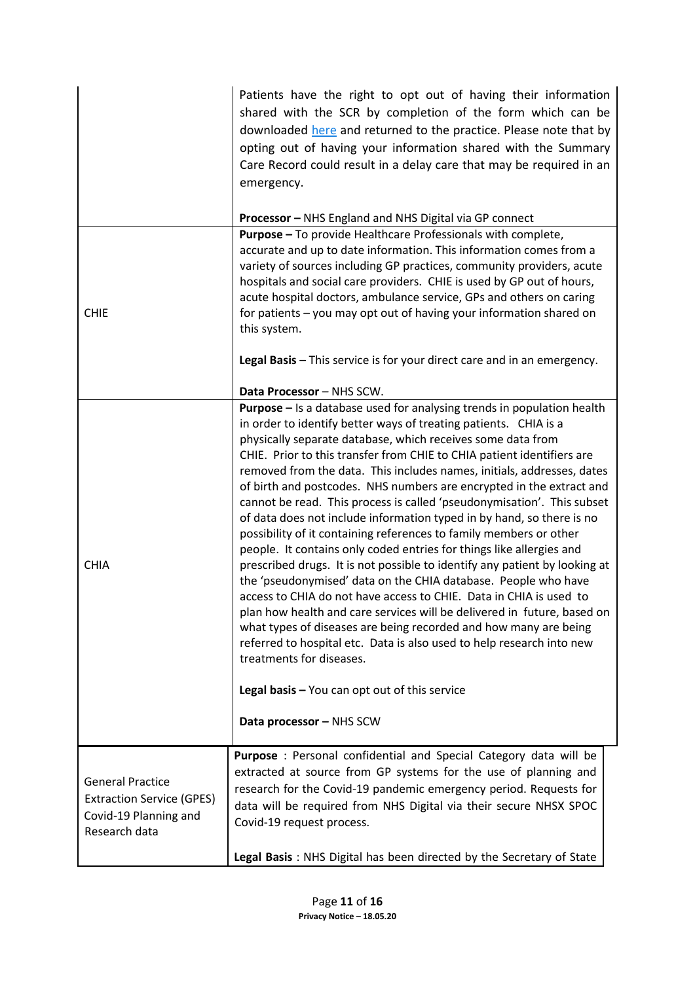|                                                                                                       | Patients have the right to opt out of having their information<br>shared with the SCR by completion of the form which can be<br>downloaded here and returned to the practice. Please note that by<br>opting out of having your information shared with the Summary<br>Care Record could result in a delay care that may be required in an<br>emergency.                                                                                                                                                                                                                                                                                                                                                                                                                                                                                                                                                                                                                                                                                                                                                                                                                                                                 |  |
|-------------------------------------------------------------------------------------------------------|-------------------------------------------------------------------------------------------------------------------------------------------------------------------------------------------------------------------------------------------------------------------------------------------------------------------------------------------------------------------------------------------------------------------------------------------------------------------------------------------------------------------------------------------------------------------------------------------------------------------------------------------------------------------------------------------------------------------------------------------------------------------------------------------------------------------------------------------------------------------------------------------------------------------------------------------------------------------------------------------------------------------------------------------------------------------------------------------------------------------------------------------------------------------------------------------------------------------------|--|
|                                                                                                       | Processor - NHS England and NHS Digital via GP connect                                                                                                                                                                                                                                                                                                                                                                                                                                                                                                                                                                                                                                                                                                                                                                                                                                                                                                                                                                                                                                                                                                                                                                  |  |
| <b>CHIE</b>                                                                                           | Purpose - To provide Healthcare Professionals with complete,<br>accurate and up to date information. This information comes from a<br>variety of sources including GP practices, community providers, acute<br>hospitals and social care providers. CHIE is used by GP out of hours,<br>acute hospital doctors, ambulance service, GPs and others on caring<br>for patients - you may opt out of having your information shared on<br>this system.                                                                                                                                                                                                                                                                                                                                                                                                                                                                                                                                                                                                                                                                                                                                                                      |  |
|                                                                                                       | Legal Basis - This service is for your direct care and in an emergency.                                                                                                                                                                                                                                                                                                                                                                                                                                                                                                                                                                                                                                                                                                                                                                                                                                                                                                                                                                                                                                                                                                                                                 |  |
|                                                                                                       | Data Processor - NHS SCW.                                                                                                                                                                                                                                                                                                                                                                                                                                                                                                                                                                                                                                                                                                                                                                                                                                                                                                                                                                                                                                                                                                                                                                                               |  |
| <b>CHIA</b>                                                                                           | <b>Purpose</b> - Is a database used for analysing trends in population health<br>in order to identify better ways of treating patients. CHIA is a<br>physically separate database, which receives some data from<br>CHIE. Prior to this transfer from CHIE to CHIA patient identifiers are<br>removed from the data. This includes names, initials, addresses, dates<br>of birth and postcodes. NHS numbers are encrypted in the extract and<br>cannot be read. This process is called 'pseudonymisation'. This subset<br>of data does not include information typed in by hand, so there is no<br>possibility of it containing references to family members or other<br>people. It contains only coded entries for things like allergies and<br>prescribed drugs. It is not possible to identify any patient by looking at<br>the 'pseudonymised' data on the CHIA database. People who have<br>access to CHIA do not have access to CHIE. Data in CHIA is used to<br>plan how health and care services will be delivered in future, based on<br>what types of diseases are being recorded and how many are being<br>referred to hospital etc. Data is also used to help research into new<br>treatments for diseases. |  |
|                                                                                                       | Legal basis - You can opt out of this service                                                                                                                                                                                                                                                                                                                                                                                                                                                                                                                                                                                                                                                                                                                                                                                                                                                                                                                                                                                                                                                                                                                                                                           |  |
|                                                                                                       | Data processor - NHS SCW                                                                                                                                                                                                                                                                                                                                                                                                                                                                                                                                                                                                                                                                                                                                                                                                                                                                                                                                                                                                                                                                                                                                                                                                |  |
| <b>General Practice</b><br><b>Extraction Service (GPES)</b><br>Covid-19 Planning and<br>Research data | Purpose : Personal confidential and Special Category data will be<br>extracted at source from GP systems for the use of planning and<br>research for the Covid-19 pandemic emergency period. Requests for<br>data will be required from NHS Digital via their secure NHSX SPOC<br>Covid-19 request process.                                                                                                                                                                                                                                                                                                                                                                                                                                                                                                                                                                                                                                                                                                                                                                                                                                                                                                             |  |
|                                                                                                       | Legal Basis: NHS Digital has been directed by the Secretary of State                                                                                                                                                                                                                                                                                                                                                                                                                                                                                                                                                                                                                                                                                                                                                                                                                                                                                                                                                                                                                                                                                                                                                    |  |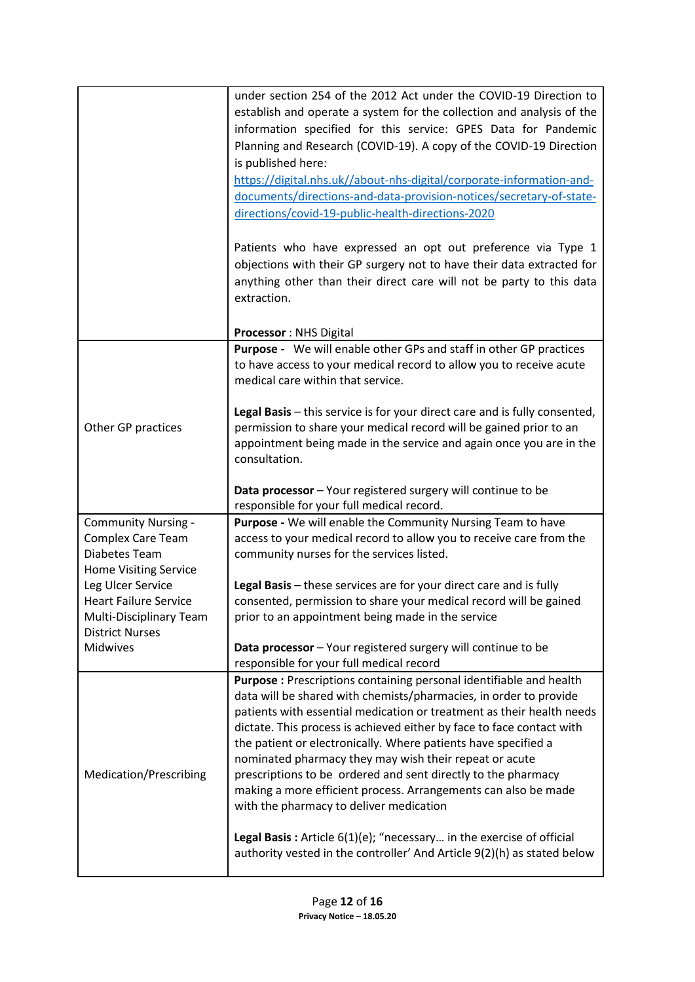|                                                                                                                                                                                                                   | under section 254 of the 2012 Act under the COVID-19 Direction to<br>establish and operate a system for the collection and analysis of the<br>information specified for this service: GPES Data for Pandemic<br>Planning and Research (COVID-19). A copy of the COVID-19 Direction<br>is published here:<br>https://digital.nhs.uk//about-nhs-digital/corporate-information-and-<br>documents/directions-and-data-provision-notices/secretary-of-state-<br>directions/covid-19-public-health-directions-2020<br>Patients who have expressed an opt out preference via Type 1<br>objections with their GP surgery not to have their data extracted for<br>anything other than their direct care will not be party to this data<br>extraction.                                                        |
|-------------------------------------------------------------------------------------------------------------------------------------------------------------------------------------------------------------------|-----------------------------------------------------------------------------------------------------------------------------------------------------------------------------------------------------------------------------------------------------------------------------------------------------------------------------------------------------------------------------------------------------------------------------------------------------------------------------------------------------------------------------------------------------------------------------------------------------------------------------------------------------------------------------------------------------------------------------------------------------------------------------------------------------|
|                                                                                                                                                                                                                   | Processor: NHS Digital                                                                                                                                                                                                                                                                                                                                                                                                                                                                                                                                                                                                                                                                                                                                                                              |
| Other GP practices                                                                                                                                                                                                | Purpose - We will enable other GPs and staff in other GP practices<br>to have access to your medical record to allow you to receive acute<br>medical care within that service.<br>Legal Basis - this service is for your direct care and is fully consented,<br>permission to share your medical record will be gained prior to an<br>appointment being made in the service and again once you are in the<br>consultation.<br>Data processor - Your registered surgery will continue to be                                                                                                                                                                                                                                                                                                          |
|                                                                                                                                                                                                                   | responsible for your full medical record.                                                                                                                                                                                                                                                                                                                                                                                                                                                                                                                                                                                                                                                                                                                                                           |
| <b>Community Nursing -</b><br><b>Complex Care Team</b><br>Diabetes Team<br><b>Home Visiting Service</b><br>Leg Ulcer Service<br><b>Heart Failure Service</b><br>Multi-Disciplinary Team<br><b>District Nurses</b> | Purpose - We will enable the Community Nursing Team to have<br>access to your medical record to allow you to receive care from the<br>community nurses for the services listed.<br>Legal Basis - these services are for your direct care and is fully<br>consented, permission to share your medical record will be gained<br>prior to an appointment being made in the service                                                                                                                                                                                                                                                                                                                                                                                                                     |
| Midwives                                                                                                                                                                                                          | Data processor - Your registered surgery will continue to be                                                                                                                                                                                                                                                                                                                                                                                                                                                                                                                                                                                                                                                                                                                                        |
| Medication/Prescribing                                                                                                                                                                                            | responsible for your full medical record<br>Purpose : Prescriptions containing personal identifiable and health<br>data will be shared with chemists/pharmacies, in order to provide<br>patients with essential medication or treatment as their health needs<br>dictate. This process is achieved either by face to face contact with<br>the patient or electronically. Where patients have specified a<br>nominated pharmacy they may wish their repeat or acute<br>prescriptions to be ordered and sent directly to the pharmacy<br>making a more efficient process. Arrangements can also be made<br>with the pharmacy to deliver medication<br>Legal Basis: Article 6(1)(e); "necessary in the exercise of official<br>authority vested in the controller' And Article 9(2)(h) as stated below |
|                                                                                                                                                                                                                   |                                                                                                                                                                                                                                                                                                                                                                                                                                                                                                                                                                                                                                                                                                                                                                                                     |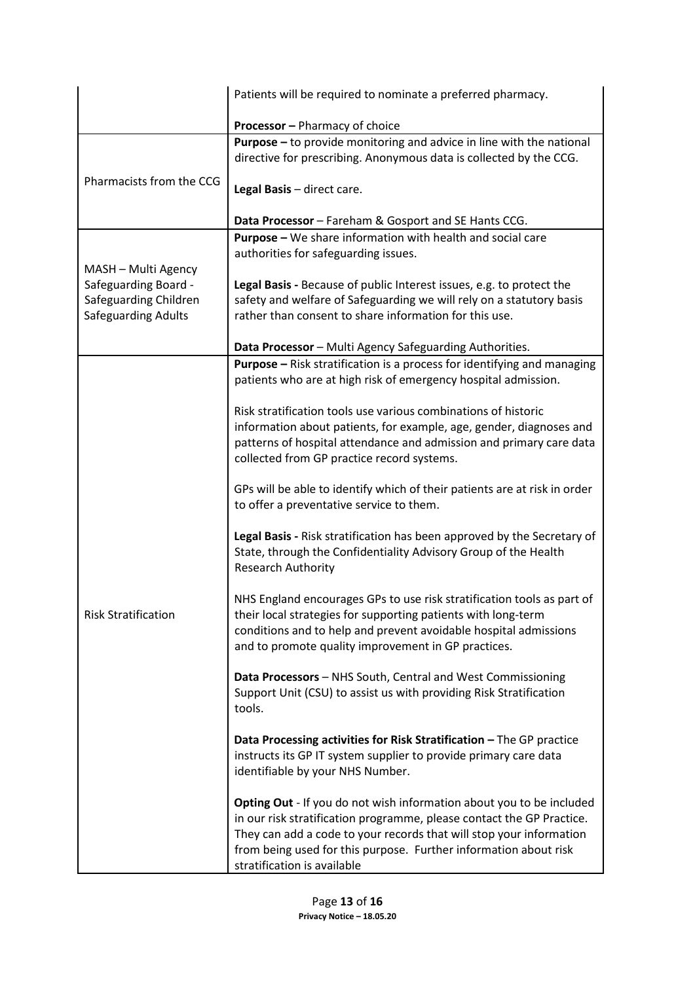| <b>Processor</b> - Pharmacy of choice<br><b>Purpose</b> – to provide monitoring and advice in line with the national                                            |  | Patients will be required to nominate a preferred pharmacy.                    |
|-----------------------------------------------------------------------------------------------------------------------------------------------------------------|--|--------------------------------------------------------------------------------|
|                                                                                                                                                                 |  |                                                                                |
|                                                                                                                                                                 |  |                                                                                |
| directive for prescribing. Anonymous data is collected by the CCG.                                                                                              |  |                                                                                |
| Pharmacists from the CCG<br>Legal Basis - direct care.                                                                                                          |  |                                                                                |
| Data Processor - Fareham & Gosport and SE Hants CCG.                                                                                                            |  |                                                                                |
| Purpose - We share information with health and social care                                                                                                      |  |                                                                                |
| authorities for safeguarding issues.<br>MASH - Multi Agency                                                                                                     |  |                                                                                |
| Safeguarding Board -<br>Legal Basis - Because of public Interest issues, e.g. to protect the                                                                    |  |                                                                                |
| Safeguarding Children<br>safety and welfare of Safeguarding we will rely on a statutory basis                                                                   |  |                                                                                |
| <b>Safeguarding Adults</b><br>rather than consent to share information for this use.                                                                            |  |                                                                                |
| Data Processor - Multi Agency Safeguarding Authorities.                                                                                                         |  |                                                                                |
|                                                                                                                                                                 |  | <b>Purpose</b> – Risk stratification is a process for identifying and managing |
| patients who are at high risk of emergency hospital admission.                                                                                                  |  |                                                                                |
| Risk stratification tools use various combinations of historic                                                                                                  |  |                                                                                |
| information about patients, for example, age, gender, diagnoses and                                                                                             |  |                                                                                |
|                                                                                                                                                                 |  | patterns of hospital attendance and admission and primary care data            |
| collected from GP practice record systems.                                                                                                                      |  |                                                                                |
| GPs will be able to identify which of their patients are at risk in order                                                                                       |  |                                                                                |
| to offer a preventative service to them.                                                                                                                        |  |                                                                                |
|                                                                                                                                                                 |  | Legal Basis - Risk stratification has been approved by the Secretary of        |
| State, through the Confidentiality Advisory Group of the Health<br>Research Authority                                                                           |  |                                                                                |
|                                                                                                                                                                 |  |                                                                                |
|                                                                                                                                                                 |  | NHS England encourages GPs to use risk stratification tools as part of         |
| <b>Risk Stratification</b><br>their local strategies for supporting patients with long-term<br>conditions and to help and prevent avoidable hospital admissions |  |                                                                                |
| and to promote quality improvement in GP practices.                                                                                                             |  |                                                                                |
|                                                                                                                                                                 |  |                                                                                |
| Data Processors - NHS South, Central and West Commissioning<br>Support Unit (CSU) to assist us with providing Risk Stratification                               |  |                                                                                |
| tools.                                                                                                                                                          |  |                                                                                |
| Data Processing activities for Risk Stratification - The GP practice                                                                                            |  |                                                                                |
| instructs its GP IT system supplier to provide primary care data                                                                                                |  |                                                                                |
| identifiable by your NHS Number.                                                                                                                                |  |                                                                                |
|                                                                                                                                                                 |  | Opting Out - If you do not wish information about you to be included           |
| in our risk stratification programme, please contact the GP Practice.                                                                                           |  |                                                                                |
| They can add a code to your records that will stop your information                                                                                             |  |                                                                                |
| from being used for this purpose. Further information about risk<br>stratification is available                                                                 |  |                                                                                |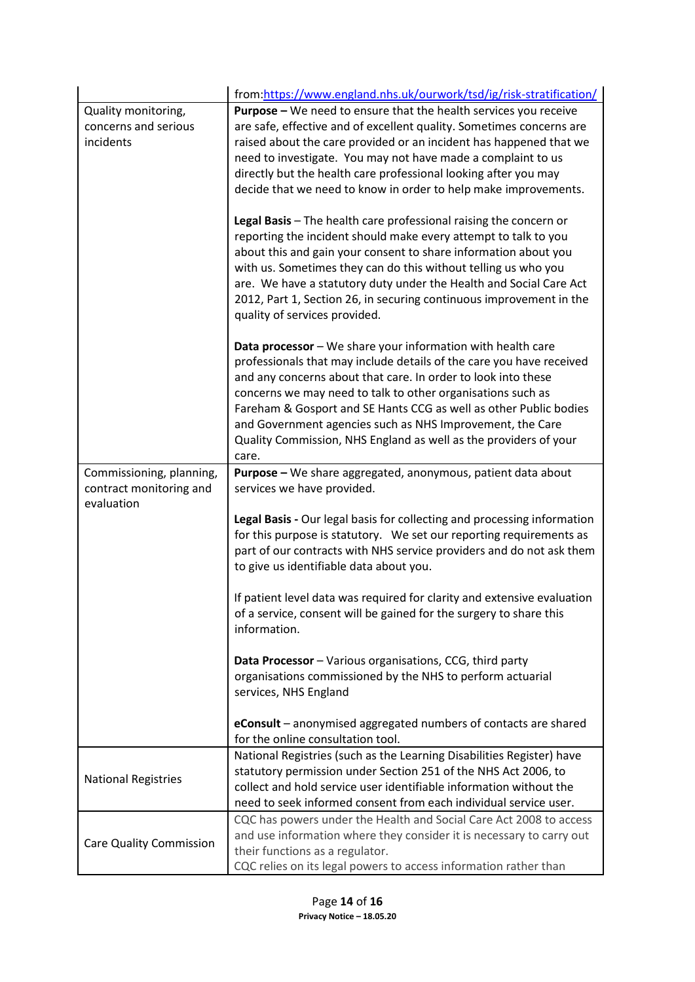|                                                                   | from:https://www.england.nhs.uk/ourwork/tsd/ig/risk-stratification/                                                                                                                                                                                                                                                                                                                                                                                                                |
|-------------------------------------------------------------------|------------------------------------------------------------------------------------------------------------------------------------------------------------------------------------------------------------------------------------------------------------------------------------------------------------------------------------------------------------------------------------------------------------------------------------------------------------------------------------|
| Quality monitoring,<br>concerns and serious<br>incidents          | Purpose - We need to ensure that the health services you receive<br>are safe, effective and of excellent quality. Sometimes concerns are<br>raised about the care provided or an incident has happened that we<br>need to investigate. You may not have made a complaint to us<br>directly but the health care professional looking after you may<br>decide that we need to know in order to help make improvements.                                                               |
|                                                                   | Legal Basis - The health care professional raising the concern or<br>reporting the incident should make every attempt to talk to you<br>about this and gain your consent to share information about you<br>with us. Sometimes they can do this without telling us who you<br>are. We have a statutory duty under the Health and Social Care Act<br>2012, Part 1, Section 26, in securing continuous improvement in the<br>quality of services provided.                            |
|                                                                   | Data processor - We share your information with health care<br>professionals that may include details of the care you have received<br>and any concerns about that care. In order to look into these<br>concerns we may need to talk to other organisations such as<br>Fareham & Gosport and SE Hants CCG as well as other Public bodies<br>and Government agencies such as NHS Improvement, the Care<br>Quality Commission, NHS England as well as the providers of your<br>care. |
| Commissioning, planning,<br>contract monitoring and<br>evaluation | Purpose - We share aggregated, anonymous, patient data about<br>services we have provided.                                                                                                                                                                                                                                                                                                                                                                                         |
|                                                                   | Legal Basis - Our legal basis for collecting and processing information<br>for this purpose is statutory. We set our reporting requirements as<br>part of our contracts with NHS service providers and do not ask them<br>to give us identifiable data about you.                                                                                                                                                                                                                  |
|                                                                   | If patient level data was required for clarity and extensive evaluation<br>of a service, consent will be gained for the surgery to share this<br>information.                                                                                                                                                                                                                                                                                                                      |
|                                                                   | Data Processor - Various organisations, CCG, third party<br>organisations commissioned by the NHS to perform actuarial<br>services, NHS England                                                                                                                                                                                                                                                                                                                                    |
|                                                                   | eConsult - anonymised aggregated numbers of contacts are shared<br>for the online consultation tool.                                                                                                                                                                                                                                                                                                                                                                               |
| <b>National Registries</b>                                        | National Registries (such as the Learning Disabilities Register) have<br>statutory permission under Section 251 of the NHS Act 2006, to<br>collect and hold service user identifiable information without the<br>need to seek informed consent from each individual service user.                                                                                                                                                                                                  |
| <b>Care Quality Commission</b>                                    | CQC has powers under the Health and Social Care Act 2008 to access<br>and use information where they consider it is necessary to carry out<br>their functions as a regulator.<br>CQC relies on its legal powers to access information rather than                                                                                                                                                                                                                                  |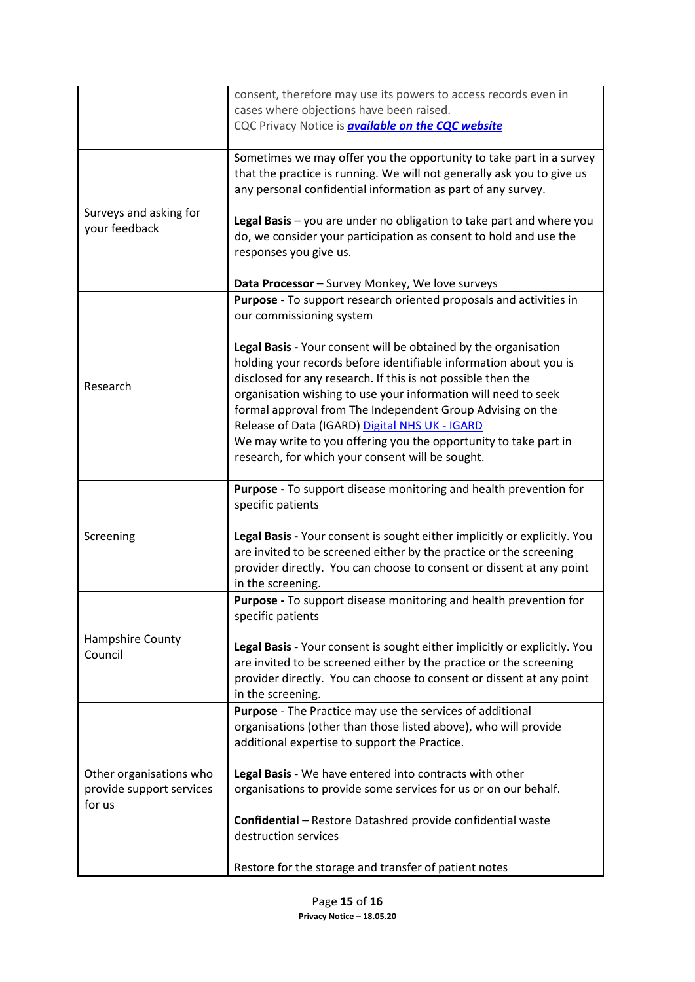|                                                     | consent, therefore may use its powers to access records even in<br>cases where objections have been raised.<br>CQC Privacy Notice is <b>available on the CQC website</b>                                                                                                                                                                                                                                                                                                                                       |
|-----------------------------------------------------|----------------------------------------------------------------------------------------------------------------------------------------------------------------------------------------------------------------------------------------------------------------------------------------------------------------------------------------------------------------------------------------------------------------------------------------------------------------------------------------------------------------|
| Surveys and asking for<br>your feedback             | Sometimes we may offer you the opportunity to take part in a survey<br>that the practice is running. We will not generally ask you to give us<br>any personal confidential information as part of any survey.<br>Legal Basis - you are under no obligation to take part and where you<br>do, we consider your participation as consent to hold and use the<br>responses you give us.                                                                                                                           |
|                                                     | Data Processor - Survey Monkey, We love surveys                                                                                                                                                                                                                                                                                                                                                                                                                                                                |
|                                                     | Purpose - To support research oriented proposals and activities in<br>our commissioning system                                                                                                                                                                                                                                                                                                                                                                                                                 |
| Research                                            | Legal Basis - Your consent will be obtained by the organisation<br>holding your records before identifiable information about you is<br>disclosed for any research. If this is not possible then the<br>organisation wishing to use your information will need to seek<br>formal approval from The Independent Group Advising on the<br>Release of Data (IGARD) Digital NHS UK - IGARD<br>We may write to you offering you the opportunity to take part in<br>research, for which your consent will be sought. |
|                                                     | Purpose - To support disease monitoring and health prevention for                                                                                                                                                                                                                                                                                                                                                                                                                                              |
|                                                     | specific patients                                                                                                                                                                                                                                                                                                                                                                                                                                                                                              |
| Screening                                           | Legal Basis - Your consent is sought either implicitly or explicitly. You<br>are invited to be screened either by the practice or the screening<br>provider directly. You can choose to consent or dissent at any point<br>in the screening.                                                                                                                                                                                                                                                                   |
|                                                     | Purpose - To support disease monitoring and health prevention for<br>specific patients                                                                                                                                                                                                                                                                                                                                                                                                                         |
| Hampshire County<br>Council                         | Legal Basis - Your consent is sought either implicitly or explicitly. You<br>are invited to be screened either by the practice or the screening<br>provider directly. You can choose to consent or dissent at any point<br>in the screening.                                                                                                                                                                                                                                                                   |
|                                                     | Purpose - The Practice may use the services of additional<br>organisations (other than those listed above), who will provide<br>additional expertise to support the Practice.                                                                                                                                                                                                                                                                                                                                  |
| Other organisations who<br>provide support services | Legal Basis - We have entered into contracts with other<br>organisations to provide some services for us or on our behalf.                                                                                                                                                                                                                                                                                                                                                                                     |
| for us                                              | <b>Confidential</b> - Restore Datashred provide confidential waste<br>destruction services                                                                                                                                                                                                                                                                                                                                                                                                                     |